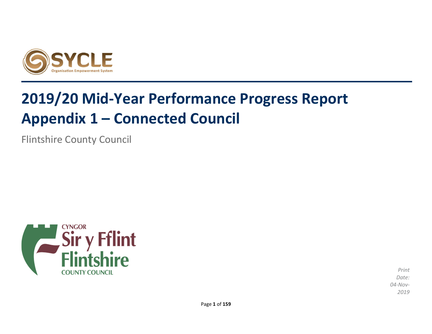

# **2019/20 Mid-Year Performance Progress Report Appendix 1 – Connected Council**

Flintshire County Council



*Print Date: 04-Nov-2019*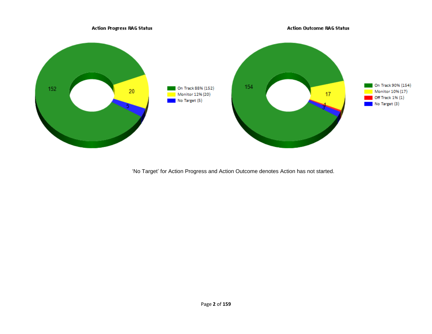

'No Target' for Action Progress and Action Outcome denotes Action has not started.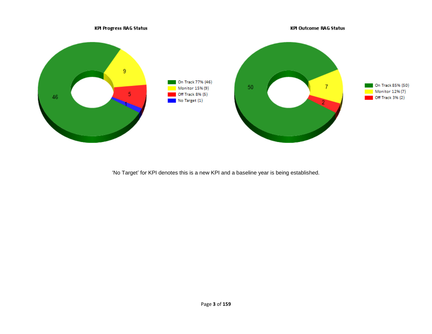

'No Target' for KPI denotes this is a new KPI and a baseline year is being established.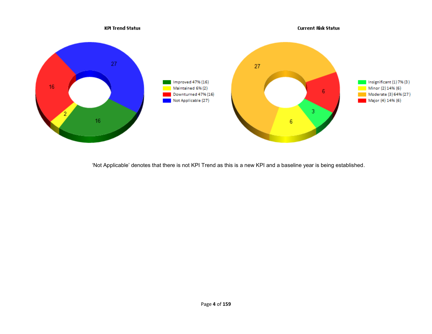

'Not Applicable' denotes that there is not KPI Trend as this is a new KPI and a baseline year is being established.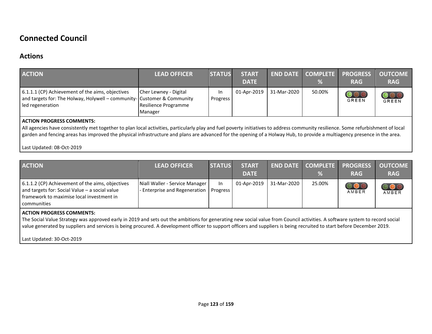## **Connected Council**

## **Actions**

| <b>ACTION</b>                                                                                                                                                                                                                                                                                                                                                                                     | <b>LEAD OFFICER</b>                                      | <b>STATUS</b>          | <b>START</b><br><b>DATE</b> | <b>END DATE</b> | <b>COMPLETE</b><br>% | <b>PROGRESS</b><br><b>RAG</b> | <b>OUTCOME</b><br><b>RAG</b>     |
|---------------------------------------------------------------------------------------------------------------------------------------------------------------------------------------------------------------------------------------------------------------------------------------------------------------------------------------------------------------------------------------------------|----------------------------------------------------------|------------------------|-----------------------------|-----------------|----------------------|-------------------------------|----------------------------------|
| 6.1.1.1 (CP) Achievement of the aims, objectives<br>and targets for: The Holway, Holywell – community- Customer & Community<br>led regeneration                                                                                                                                                                                                                                                   | Cher Lewney - Digital<br>Resilience Programme<br>Manager | In.<br><b>Progress</b> | 01-Apr-2019                 | 31-Mar-2020     | 50.00%               | $\circ$<br>GREEN              | $\overline{\text{OOO}}$<br>GREEN |
| <b>ACTION PROGRESS COMMENTS:</b><br>All agencies have consistently met together to plan local activities, particularly play and fuel poverty initiatives to address community resilience. Some refurbishment of local<br>garden and fencing areas has improved the physical infrastructure and plans are advanced for the opening of a Holway Hub, to provide a multiagency presence in the area. |                                                          |                        |                             |                 |                      |                               |                                  |

#### Last Updated: 08-Oct-2019

| <b>ACTION</b>                                                                                                                                                           | <b>LEAD OFFICER</b>                                             | <b>STATUS</b>  | <b>START</b><br><b>DATE</b> |             | END DATE COMPLETE<br>% | <b>PROGRESS</b><br><b>RAG</b> | <b>OUTCOME</b><br><b>RAG</b> |
|-------------------------------------------------------------------------------------------------------------------------------------------------------------------------|-----------------------------------------------------------------|----------------|-----------------------------|-------------|------------------------|-------------------------------|------------------------------|
| 6.1.1.2 (CP) Achievement of the aims, objectives<br>and targets for: Social Value - a social value<br>I framework to maximise local investment in<br><b>communities</b> | Niall Waller - Service Manager<br>- Enterprise and Regeneration | In<br>Progress | 01-Apr-2019                 | 31-Mar-2020 | 25.00%                 | $\circ \circ \circ$<br>AMBER  | <b>OOO</b>                   |
| <b>ACTION PROGRESS COMMENTS:</b>                                                                                                                                        |                                                                 |                |                             |             |                        |                               |                              |

The Social Value Strategy was approved early in 2019 and sets out the ambitions for generating new social value from Council activities. A software system to record social value generated by suppliers and services is being procured. A development officer to support officers and suppliers is being recruited to start before December 2019.

Last Updated: 30-Oct-2019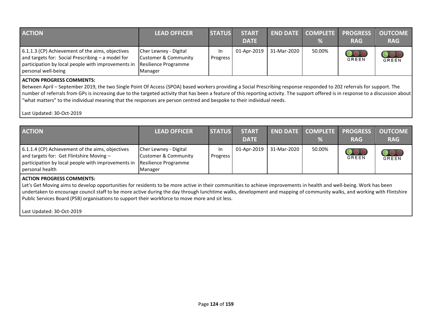| <b>ACTION</b>                                                                                                                                                                        | <b>LEAD OFFICER</b>                                                              | <b>STATUS</b>   | <b>START</b><br><b>DATE</b> |             | %      | END DATE COMPLETE PROGRESS<br><b>RAG</b> | <b>OUTCOME</b><br><b>RAG</b>               |
|--------------------------------------------------------------------------------------------------------------------------------------------------------------------------------------|----------------------------------------------------------------------------------|-----------------|-----------------------------|-------------|--------|------------------------------------------|--------------------------------------------|
| 6.1.1.3 (CP) Achievement of the aims, objectives<br>and targets for: Social Prescribing $-$ a model for<br>participation by local people with improvements in<br>personal well-being | Cher Lewney - Digital<br>Customer & Community<br>Resilience Programme<br>Manager | In.<br>Progress | 01-Apr-2019                 | 31-Mar-2020 | 50.00% | <b>GREEN</b>                             | $\overline{\mathbf{O}}\mathbf{O}$<br>GREEN |

#### **ACTION PROGRESS COMMENTS:**

Between April – September 2019, the two Single Point Of Access (SPOA) based workers providing a Social Prescribing response responded to 202 referrals for support. The number of referrals from GPs is increasing due to the targeted activity that has been a feature of this reporting activity. The support offered is in response to a discussion about "what matters" to the individual meaning that the responses are person centred and bespoke to their individual needs.

Last Updated: 30-Oct-2019

| <b>ACTION</b>                                                                                                                                                         | <b>LEAD OFFICER</b>                                                                         | <b>STATUS</b>   | <b>START</b><br><b>DATE</b> |             | $\%$   | <b>END DATE COMPLETE PROGRESS</b><br><b>RAG</b> | <b>OUTCOME</b><br><b>RAG</b> |
|-----------------------------------------------------------------------------------------------------------------------------------------------------------------------|---------------------------------------------------------------------------------------------|-----------------|-----------------------------|-------------|--------|-------------------------------------------------|------------------------------|
| 6.1.1.4 (CP) Achievement of the aims, objectives<br>and targets for: Get Flintshire Moving -<br>participation by local people with improvements in<br>personal health | Cher Lewney - Digital<br><b>Customer &amp; Community</b><br>Resilience Programme<br>Manager | In.<br>Progress | 01-Apr-2019                 | 31-Mar-2020 | 50.00% | GREEN                                           | $\bigcirc$<br><b>GREEN</b>   |

#### **ACTION PROGRESS COMMENTS:**

Let's Get Moving aims to develop opportunities for residents to be more active in their communities to achieve improvements in health and well-being. Work has been undertaken to encourage council staff to be more active during the day through lunchtime walks, development and mapping of community walks, and working with Flintshire Public Services Board (PSB) organisations to support their workforce to move more and sit less.

Last Updated: 30-Oct-2019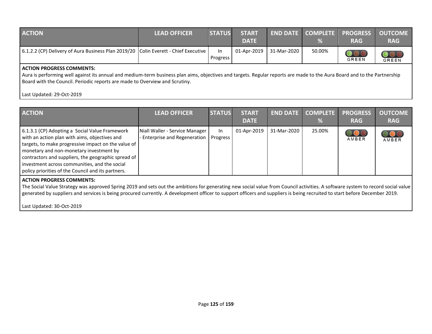| <b>ACTION</b>                                                                                                                               | <b>LEAD OFFICER</b> | <b>STATUS</b>         | <b>START</b><br><b>DATE</b> |             | %      | <b>END DATE   COMPLETE   PROGRESS   OUTCOME</b><br><b>RAG</b> | <b>RAG</b> |
|---------------------------------------------------------------------------------------------------------------------------------------------|---------------------|-----------------------|-----------------------------|-------------|--------|---------------------------------------------------------------|------------|
| 6.1.2.2 (CP) Delivery of Aura Business Plan 2019/20   Colin Everett - Chief Executive                                                       |                     | <b>In</b><br>Progress | 01-Apr-2019                 | 31-Mar-2020 | 50.00% | <b>GREEN</b>                                                  | GREEN      |
| ACTION PROGRESS COMMENTS:<br>그 사람들은 그 사람들은 그 사람들은 그 사람들을 지르며 그 사람들을 지르며 그 사람들을 지르며 그 사람들을 지르며 그 사람들을 지르며 그 사람들을 지르며 그 사람들을 지르며 그 사람들을 지르며 그 |                     |                       |                             |             |        |                                                               |            |

Aura is performing well against its annual and medium-term business plan aims, objectives and targets. Regular reports are made to the Aura Board and to the Partnership Board with the Council. Periodic reports are made to Overview and Scrutiny.

#### Last Updated: 29-Oct-2019

| <b>ACTION</b>                                                                                                                                                                                                                                                                                                                                                                                                                  | <b>LEAD OFFICER</b>                                                  | <b>STATUS</b>  | <b>START</b><br><b>DATE</b> | <b>END DATE</b> | <b>COMPLETE</b><br>% | <b>PROGRESS</b><br><b>RAG</b> | <b>OUTCOME</b><br><b>RAG</b> |
|--------------------------------------------------------------------------------------------------------------------------------------------------------------------------------------------------------------------------------------------------------------------------------------------------------------------------------------------------------------------------------------------------------------------------------|----------------------------------------------------------------------|----------------|-----------------------------|-----------------|----------------------|-------------------------------|------------------------------|
| 6.1.3.1 (CP) Adopting a Social Value Framework<br>with an action plan with aims, objectives and<br>targets, to make progressive impact on the value of<br>monetary and non-monetary investment by<br>contractors and suppliers, the geographic spread of<br>investment across communities, and the social<br>policy priorities of the Council and its partners.                                                                | Niall Waller - Service Manager<br><b>Enterprise and Regeneration</b> | In<br>Progress | 01-Apr-2019                 | 31-Mar-2020     | 25.00%               | $\bigcup$<br>AMBER            | AMBER                        |
| <b>ACTION PROGRESS COMMENTS:</b><br>The Social Value Strategy was approved Spring 2019 and sets out the ambitions for generating new social value from Council activities. A software system to record social value<br>generated by suppliers and services is being procured currently. A development officer to support officers and suppliers is being recruited to start before December 2019.<br>Last Updated: 30-Oct-2019 |                                                                      |                |                             |                 |                      |                               |                              |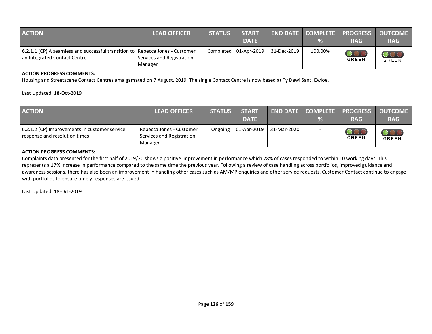| <b>ACTION</b>                                                                                                                                                             | <b>LEAD OFFICER</b>                  | <b>STATUS</b> | <b>START</b><br><b>DATE</b> |             | %       | <b>END DATE COMPLETE PROGRESS</b><br><b>RAG</b> | <b>OUTCOME</b><br><b>RAG</b> |
|---------------------------------------------------------------------------------------------------------------------------------------------------------------------------|--------------------------------------|---------------|-----------------------------|-------------|---------|-------------------------------------------------|------------------------------|
| 6.2.1.1 (CP) A seamless and successful transition to Rebecca Jones - Customer<br>an Integrated Contact Centre                                                             | Services and Registration<br>Manager |               | Completed 01-Apr-2019       | 31-Dec-2019 | 100.00% | $\overline{\text{O}\text{O}}$ C<br>GREEN        | GREEN                        |
| <b>ACTION PROGRESS COMMENTS:</b><br>Housing and Streetscene Contact Centres amalgamated on 7 August, 2019. The single Contact Centre is now based at Ty Dewi Sant, Ewloe. |                                      |               |                             |             |         |                                                 |                              |

### Last Updated: 18-Oct-2019

| <b>ACTION</b>                                                                                                                                                                                                                                                                                                                                                                                                                                                                                                                                                                                                  | <b>LEAD OFFICER</b>                                                      | <b>STATUS</b> | <b>START</b><br><b>DATE</b> | <b>END DATE</b> | <b>COMPLETE</b><br>% | <b>PROGRESS</b><br><b>RAG</b> | <b>OUTCOME</b><br><b>RAG</b> |
|----------------------------------------------------------------------------------------------------------------------------------------------------------------------------------------------------------------------------------------------------------------------------------------------------------------------------------------------------------------------------------------------------------------------------------------------------------------------------------------------------------------------------------------------------------------------------------------------------------------|--------------------------------------------------------------------------|---------------|-----------------------------|-----------------|----------------------|-------------------------------|------------------------------|
| 6.2.1.2 (CP) Improvements in customer service<br>response and resolution times                                                                                                                                                                                                                                                                                                                                                                                                                                                                                                                                 | <b>IRebecca Jones - Customer</b><br>Services and Registration<br>Manager | Ongoing       | 01-Apr-2019                 | 31-Mar-2020     |                      | OOC<br>GREEN                  | $\bigcirc$<br>GREEN          |
| <b>ACTION PROGRESS COMMENTS:</b><br>Complaints data presented for the first half of 2019/20 shows a positive improvement in performance which 78% of cases responded to within 10 working days. This<br>represents a 17% increase in performance compared to the same time the previous year. Following a review of case handling across portfolios, improved guidance and<br>awareness sessions, there has also been an improvement in handling other cases such as AM/MP enquiries and other service requests. Customer Contact continue to engage<br>with portfolios to ensure timely responses are issued. |                                                                          |               |                             |                 |                      |                               |                              |

Last Updated: 18-Oct-2019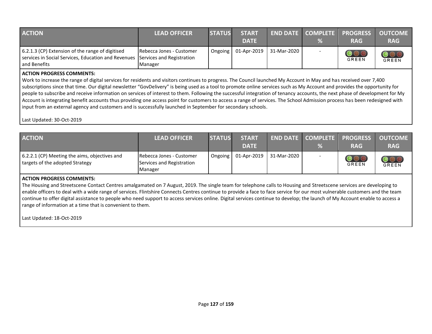| <b>ACTION</b>                                                                                                                                     | <b>LEAD OFFICER</b>                 | <b>STATUS</b> | <b>START</b><br><b>DATE</b> |                                 | $\%$ | <b>END DATE COMPLETE PROGRESS</b><br><b>RAG</b> | <b>OUTCOME</b><br><b>RAG</b>                          |
|---------------------------------------------------------------------------------------------------------------------------------------------------|-------------------------------------|---------------|-----------------------------|---------------------------------|------|-------------------------------------------------|-------------------------------------------------------|
| 6.2.1.3 (CP) Extension of the range of digitised<br>services in Social Services, Education and Revenues Services and Registration<br>and Benefits | Rebecca Jones - Customer<br>Manager | Ongoing       |                             | $\vert$ 01-Apr-2019 31-Mar-2020 |      | <b>GREEN</b>                                    | $\overline{\text{O}\text{O}}\text{C}$<br><b>GREEN</b> |

#### **ACTION PROGRESS COMMENTS:**

Work to increase the range of digital services for residents and visitors continues to progress. The Council launched My Account in May and has received over 7,400 subscriptions since that time. Our digital newsletter "GovDelivery" is being used as a tool to promote online services such as My Account and provides the opportunity for people to subscribe and receive information on services of interest to them. Following the successful integration of tenancy accounts, the next phase of development for My Account is integrating benefit accounts thus providing one access point for customers to access a range of services. The School Admission process has been redesigned with input from an external agency and customers and is successfully launched in September for secondary schools.

Last Updated: 30-Oct-2019

| <b>ACTION</b>                                                                    | <b>LEAD OFFICER</b>                                              | <b>STATUS</b> | <b>START</b><br><b>DATE</b> |             | $\%$ | <b>END DATE COMPLETE PROGRESS OUTCOME</b><br><b>RAG</b> | <b>RAG</b>   |
|----------------------------------------------------------------------------------|------------------------------------------------------------------|---------------|-----------------------------|-------------|------|---------------------------------------------------------|--------------|
| 6.2.2.1 (CP) Meeting the aims, objectives and<br>targets of the adopted Strategy | Rebecca Jones - Customer<br>Services and Registration<br>Manager | Ongoing       | 01-Apr-2019                 | 31-Mar-2020 |      | <b>GREEN</b>                                            | <b>GREEN</b> |

#### **ACTION PROGRESS COMMENTS:**

The Housing and Streetscene Contact Centres amalgamated on 7 August, 2019. The single team for telephone calls to Housing and Streetscene services are developing to enable officers to deal with a wide range of services. Flintshire Connects Centres continue to provide a face to face service for our most vulnerable customers and the team continue to offer digital assistance to people who need support to access services online. Digital services continue to develop; the launch of My Account enable to access a range of information at a time that is convenient to them.

Last Updated: 18-Oct-2019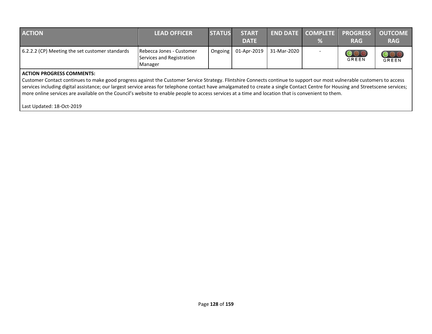| <b>ACTION</b>                                   | <b>LEAD OFFICER</b>                                              | <b>STATUS</b> | <b>START</b><br><b>DATE</b> |             | %                        | <b>END DATE COMPLETE PROGRESS OUTCOME</b><br><b>RAG</b> | <b>RAG</b>          |
|-------------------------------------------------|------------------------------------------------------------------|---------------|-----------------------------|-------------|--------------------------|---------------------------------------------------------|---------------------|
| 6.2.2.2 (CP) Meeting the set customer standards | Rebecca Jones - Customer<br>Services and Registration<br>Manager | Ongoing       | 01-Apr-2019                 | 31-Mar-2020 | $\overline{\phantom{0}}$ | <b>GREEN</b>                                            | OOO<br><b>GREEN</b> |

#### **ACTION PROGRESS COMMENTS:**

Customer Contact continues to make good progress against the Customer Service Strategy. Flintshire Connects continue to support our most vulnerable customers to access services including digital assistance; our largest service areas for telephone contact have amalgamated to create a single Contact Centre for Housing and Streetscene services; more online services are available on the Council's website to enable people to access services at a time and location that is convenient to them.

Last Updated: 18-Oct-2019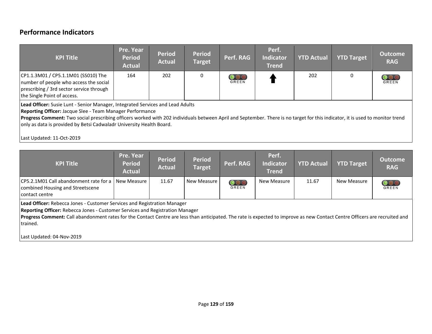## **Performance Indicators**

| <b>KPI Title</b>                                                                                                                                                                                                                                                                                                                                                                                                                            | Pre. Year<br><b>Period</b><br><b>Actual</b> | <b>Period</b><br><b>Actual</b> | <b>Period</b><br><b>Target</b> | Perf. RAG           | Perf.<br><b>Indicator</b><br><b>Trend</b> | <b>YTD Actual</b> | <b>YTD Target</b> | <b>Outcome</b><br><b>RAG</b> |
|---------------------------------------------------------------------------------------------------------------------------------------------------------------------------------------------------------------------------------------------------------------------------------------------------------------------------------------------------------------------------------------------------------------------------------------------|---------------------------------------------|--------------------------------|--------------------------------|---------------------|-------------------------------------------|-------------------|-------------------|------------------------------|
| CP1.1.3M01 / CP5.1.1M01 (SS010) The<br>number of people who access the social<br>prescribing / 3rd sector service through<br>the Single Point of access.                                                                                                                                                                                                                                                                                    | 164                                         | 202                            | $\mathbf{0}$                   | $\bigcirc$<br>GREEN |                                           | 202               | 0                 | <b>GREEN</b>                 |
| Lead Officer: Susie Lunt - Senior Manager, Integrated Services and Lead Adults<br>Reporting Officer: Jacque Slee - Team Manager Performance<br>Progress Comment: Two social prescribing officers worked with 202 individuals between April and September. There is no target for this indicator, it is used to monitor trend<br>only as data is provided by Betsi Cadwaladr University Health Board.<br>$1.24$ $1.042$ $1.04$ $1.04$ $2010$ |                                             |                                |                                |                     |                                           |                   |                   |                              |

#### Last Updated: 11-Oct-2019 **Pre. Year Perf. Period Period YTD Actual YTD Target Outcome KPI Title Period Target Perf. RAG Indicator Actual Actual Trend** CP5.2.1M01 Call abandonment rate for a 11.67 New Measure **11.67** New Measure 11.67 New Measure combined Housing and Streetscene GREEN

**Lead Officer:** Rebecca Jones - Customer Services and Registration Manager

**Reporting Officer:** Rebecca Jones - Customer Services and Registration Manager

**Progress Comment:** Call abandonment rates for the Contact Centre are less than anticipated. The rate is expected to improve as new Contact Centre Officers are recruited and trained.

**RAG**

 $\overline{\text{OOO}}$ 

GREEN

Last Updated: 04-Nov-2019

contact centre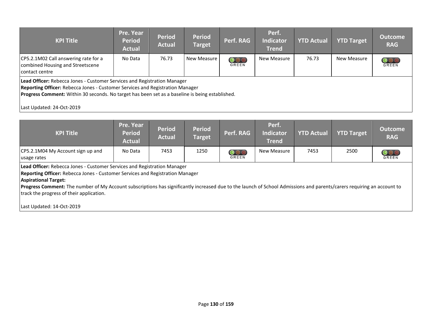| <b>KPI Title</b>                                                                           | Pre. Year<br><b>Period</b><br><b>Actual</b> | <b>Period</b><br><b>Actual</b> | <b>Period</b><br><b>Target</b> | Perf. RAG | Perf.<br><b>Indicator</b><br><b>Trend</b> | <b>YTD Actual</b> | <b>YTD Target</b> | <b>Outcome</b><br><b>RAG</b> |
|--------------------------------------------------------------------------------------------|---------------------------------------------|--------------------------------|--------------------------------|-----------|-------------------------------------------|-------------------|-------------------|------------------------------|
| CP5.2.1M02 Call answering rate for a<br>combined Housing and Streetscene<br>contact centre | No Data                                     | 76.73                          | New Measure                    | GREEN     | New Measure                               | 76.73             | New Measure       | <b>OOO</b><br>GREEN          |
| Lead Officer: Rebecca Jones - Customer Services and Registration Manager                   |                                             |                                |                                |           |                                           |                   |                   |                              |

**Reporting Officer:** Rebecca Jones - Customer Services and Registration Manager

**Progress Comment:** Within 30 seconds. No target has been set as a baseline is being established.

Last Updated: 24-Oct-2019

| <b>KPI Title</b>                                                                                                                                                                                                                                                                                                                                                                                               | Pre. Year<br><b>Period</b><br><b>Actual</b> | <b>Period</b><br><b>Actual</b> | <b>Period</b><br><b>Target</b> | Perf. RAG                       | Perf.<br><b>Indicator</b><br><b>Trend</b> | <b>YTD Actual</b> | <b>YTD Target</b> | <b>Outcome</b><br><b>RAG</b> |  |  |
|----------------------------------------------------------------------------------------------------------------------------------------------------------------------------------------------------------------------------------------------------------------------------------------------------------------------------------------------------------------------------------------------------------------|---------------------------------------------|--------------------------------|--------------------------------|---------------------------------|-------------------------------------------|-------------------|-------------------|------------------------------|--|--|
| CP5.2.1M04 My Account sign up and<br>usage rates                                                                                                                                                                                                                                                                                                                                                               | No Data                                     | 7453                           | 1250                           | $\overline{\text{OO}}$<br>GREEN | New Measure                               | 7453              | 2500              | OOC<br><b>GREEN</b>          |  |  |
| Lead Officer: Rebecca Jones - Customer Services and Registration Manager<br>Reporting Officer: Rebecca Jones - Customer Services and Registration Manager<br><b>Aspirational Target:</b><br>Progress Comment: The number of My Account subscriptions has significantly increased due to the launch of School Admissions and parents/carers requiring an account to<br>track the progress of their application. |                                             |                                |                                |                                 |                                           |                   |                   |                              |  |  |
| Last Updated: 14-Oct-2019                                                                                                                                                                                                                                                                                                                                                                                      |                                             |                                |                                |                                 |                                           |                   |                   |                              |  |  |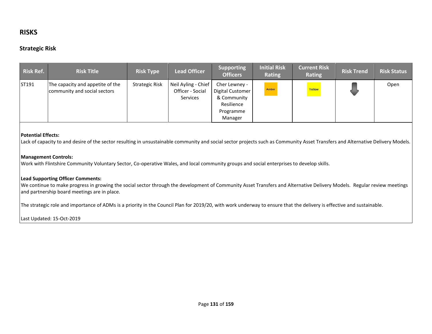## **RISKS**

## **Strategic Risk**

| <b>Risk Ref.</b> | <b>Risk Title</b>                                                | <b>Risk Type</b>      | <b>Lead Officer</b>                                        | <b>Supporting</b><br><b>Officers</b>                                                   | <b>Initial Risk</b><br>Rating | <b>Current Risk</b><br>Rating | <b>Risk Trend</b> | <b>Risk Status</b> |
|------------------|------------------------------------------------------------------|-----------------------|------------------------------------------------------------|----------------------------------------------------------------------------------------|-------------------------------|-------------------------------|-------------------|--------------------|
| ST191            | The capacity and appetite of the<br>community and social sectors | <b>Strategic Risk</b> | Neil Ayling - Chief<br>Officer - Social<br><b>Services</b> | Cher Lewney -<br>Digital Customer<br>& Community<br>Resilience<br>Programme<br>Manager | Amber                         | Yellow<br><b>Contract</b>     |                   | Open               |

#### **Potential Effects:**

Lack of capacity to and desire of the sector resulting in unsustainable community and social sector projects such as Community Asset Transfers and Alternative Delivery Models.

#### **Management Controls:**

Work with Flintshire Community Voluntary Sector, Co-operative Wales, and local community groups and social enterprises to develop skills.

#### **Lead Supporting Officer Comments:**

We continue to make progress in growing the social sector through the development of Community Asset Transfers and Alternative Delivery Models. Regular review meetings and partnership board meetings are in place.

The strategic role and importance of ADMs is a priority in the Council Plan for 2019/20, with work underway to ensure that the delivery is effective and sustainable.

Last Updated: 15-Oct-2019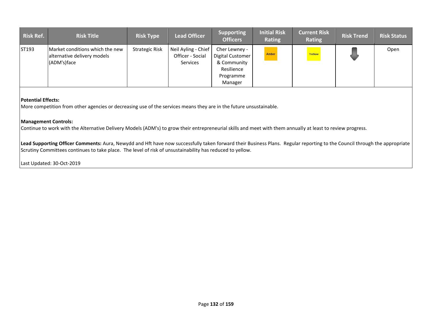| <b>Risk Ref.</b> | <b>Risk Title</b>                                                             | <b>Risk Type</b>      | <b>Lead Officer</b>                                        | <b>Supporting</b><br><b>Officers</b>                                                   | <b>Initial Risk</b><br><b>Rating</b> | <b>Current Risk</b><br><b>Rating</b> | <b>Risk Trend</b> | <b>Risk Status</b> |
|------------------|-------------------------------------------------------------------------------|-----------------------|------------------------------------------------------------|----------------------------------------------------------------------------------------|--------------------------------------|--------------------------------------|-------------------|--------------------|
| ST193            | Market conditions which the new<br>alternative delivery models<br>(ADM's)face | <b>Strategic Risk</b> | Neil Ayling - Chief<br>Officer - Social<br><b>Services</b> | Cher Lewney -<br>Digital Customer<br>& Community<br>Resilience<br>Programme<br>Manager | Amber                                | Yellow                               |                   | Open               |

More competition from other agencies or decreasing use of the services means they are in the future unsustainable.

#### **Management Controls:**

Continue to work with the Alternative Delivery Models (ADM's) to grow their entrepreneurial skills and meet with them annually at least to review progress.

**Lead Supporting Officer Comments:** Aura, Newydd and Hft have now successfully taken forward their Business Plans. Regular reporting to the Council through the appropriate Scrutiny Committees continues to take place. The level of risk of unsustainability has reduced to yellow.

Last Updated: 30-Oct-2019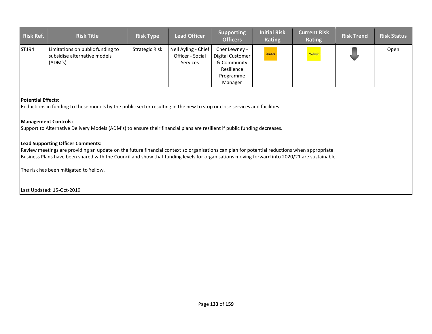| <b>Risk Ref.</b> | <b>Risk Title</b>                                                           | <b>Risk Type</b>      | <b>Lead Officer</b>                                 | <b>Supporting</b><br><b>Officers</b>                                                   | <b>Initial Risk</b><br><b>Rating</b> | <b>Current Risk</b><br><b>Rating</b> | <b>Risk Trend</b> | <b>Risk Status</b> |
|------------------|-----------------------------------------------------------------------------|-----------------------|-----------------------------------------------------|----------------------------------------------------------------------------------------|--------------------------------------|--------------------------------------|-------------------|--------------------|
| ST194            | Limitations on public funding to<br>subsidise alternative models<br>(ADM's) | <b>Strategic Risk</b> | Neil Ayling - Chief<br>Officer - Social<br>Services | Cher Lewney -<br>Digital Customer<br>& Community<br>Resilience<br>Programme<br>Manager | Amber                                | Yellow                               |                   | Open               |

Reductions in funding to these models by the public sector resulting in the new to stop or close services and facilities.

#### **Management Controls:**

Support to Alternative Delivery Models (ADM's) to ensure their financial plans are resilient if public funding decreases.

#### **Lead Supporting Officer Comments:**

Review meetings are providing an update on the future financial context so organisations can plan for potential reductions when appropriate. Business Plans have been shared with the Council and show that funding levels for organisations moving forward into 2020/21 are sustainable.

The risk has been mitigated to Yellow.

Last Updated: 15-Oct-2019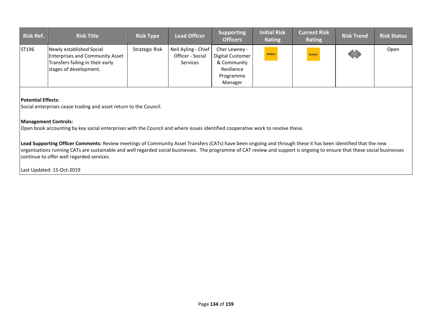| <b>Risk Ref.</b> | <b>Risk Title</b>                                                                                                                | <b>Risk Type</b> | <b>Lead Officer</b>                                        | <b>Supporting</b><br><b>Officers</b>                                                   | <b>Initial Risk</b><br>Rating | <b>Current Risk</b><br>Rating | <b>Risk Trend</b> | <b>Risk Status</b> |
|------------------|----------------------------------------------------------------------------------------------------------------------------------|------------------|------------------------------------------------------------|----------------------------------------------------------------------------------------|-------------------------------|-------------------------------|-------------------|--------------------|
| ST196            | Newly established Social<br><b>Enterprises and Community Asset</b><br>Transfers failing in their early<br>stages of development. | Strategic Risk   | Neil Ayling - Chief<br>Officer - Social<br><b>Services</b> | Cher Lewney -<br>Digital Customer<br>& Community<br>Resilience<br>Programme<br>Manager | Amber                         | Amber                         | <b>SOUTH</b>      | Open               |

Social enterprises cease trading and asset return to the Council.

#### **Management Controls:**

 $|$ Open book accounting by key social enterprises with the Council and where issues identified cooperative work to resolve these.

**Lead Supporting Officer Comments:** Review meetings of Community Asset Transfers (CATs) have been ongoing and through these it has been identified that the new organisations running CATs are sustainable and well regarded social businesses. The programme of CAT review and support is ongoing to ensure that these social businesses continue to offer well regarded services.

Last Updated: 15-Oct-2019